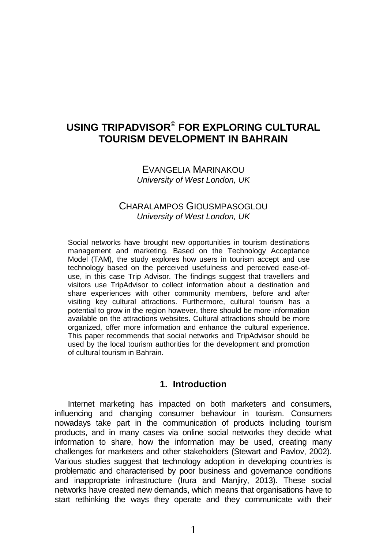# **USING TRIPADVISOR© FOR EXPLORING CULTURAL TOURISM DEVELOPMENT IN BAHRAIN**

#### EVANGELIA MARINAKOU *University of West London, UK*

### CHARALAMPOS GIOUSMPASOGLOU *University of West London, UK*

Social networks have brought new opportunities in tourism destinations management and marketing. Based on the Technology Acceptance Model (TAM), the study explores how users in tourism accept and use technology based on the perceived usefulness and perceived ease-ofuse, in this case Trip Advisor. The findings suggest that travellers and visitors use TripAdvisor to collect information about a destination and share experiences with other community members, before and after visiting key cultural attractions. Furthermore, cultural tourism has a potential to grow in the region however, there should be more information available on the attractions websites. Cultural attractions should be more organized, offer more information and enhance the cultural experience. This paper recommends that social networks and TripAdvisor should be used by the local tourism authorities for the development and promotion of cultural tourism in Bahrain.

#### **1. Introduction**

Internet marketing has impacted on both marketers and consumers, influencing and changing consumer behaviour in tourism. Consumers nowadays take part in the communication of products including tourism products, and in many cases via online social networks they decide what information to share, how the information may be used, creating many challenges for marketers and other stakeholders (Stewart and Pavlov, 2002). Various studies suggest that technology adoption in developing countries is problematic and characterised by poor business and governance conditions and inappropriate infrastructure (Irura and Manjiry, 2013). These social networks have created new demands, which means that organisations have to start rethinking the ways they operate and they communicate with their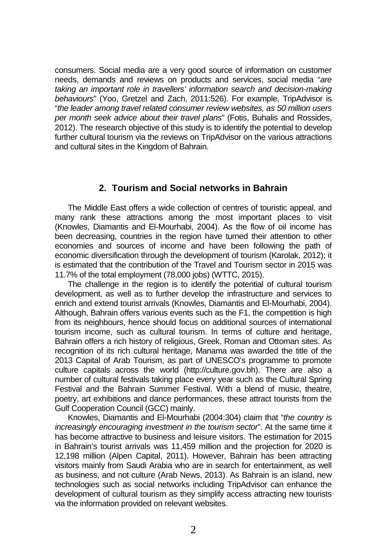consumers. Social media are a very good source of information on customer needs, demands and reviews on products and services, social media "*are taking an important role in travellers' information search and decision-making behaviours*" (Yoo, Gretzel and Zach, 2011:526). For example, TripAdvisor is "*the leader among travel related consumer review websites, as 50 million users per month seek advice about their travel plans*" (Fotis, Buhalis and Rossides, 2012). The research objective of this study is to identify the potential to develop further cultural tourism via the reviews on TripAdvisor on the various attractions and cultural sites in the Kingdom of Bahrain.

# **2. Tourism and Social networks in Bahrain**

The Middle East offers a wide collection of centres of touristic appeal, and many rank these attractions among the most important places to visit (Knowles, Diamantis and El-Mourhabi, 2004). As the flow of oil income has been decreasing, countries in the region have turned their attention to other economies and sources of income and have been following the path of economic diversification through the development of tourism (Karolak, 2012); it is estimated that the contribution of the Travel and Tourism sector in 2015 was 11.7% of the total employment (78,000 jobs) (WTTC, 2015).

The challenge in the region is to identify the potential of cultural tourism development, as well as to further develop the infrastructure and services to enrich and extend tourist arrivals (Knowles, Diamantis and El-Mourhabi, 2004). Although, Bahrain offers various events such as the F1, the competition is high from its neighbours, hence should focus on additional sources of international tourism income, such as cultural tourism. In terms of culture and heritage, Bahrain offers a rich history of religious, Greek, Roman and Ottoman sites. As recognition of its rich cultural heritage, Manama was awarded the title of the 2013 Capital of Arab Tourism, as part of UNESCO's programme to promote culture capitals across the world (http://culture.gov.bh). There are also a number of cultural festivals taking place every year such as the Cultural Spring Festival and the Bahrain Summer Festival. With a blend of music, theatre, poetry, art exhibitions and dance performances, these attract tourists from the Gulf Cooperation Council (GCC) mainly.

Knowles, Diamantis and El-Mourhabi (2004:304) claim that "*the country is increasingly encouraging investment in the tourism sector*". At the same time it has become attractive to business and leisure visitors. The estimation for 2015 in Bahrain's tourist arrivals was 11,459 million and the projection for 2020 is 12,198 million (Alpen Capital, 2011). However, Bahrain has been attracting visitors mainly from Saudi Arabia who are in search for entertainment, as well as business, and not culture (Arab News, 2013). As Bahrain is an island, new technologies such as social networks including TripAdvisor can enhance the development of cultural tourism as they simplify access attracting new tourists via the information provided on relevant websites.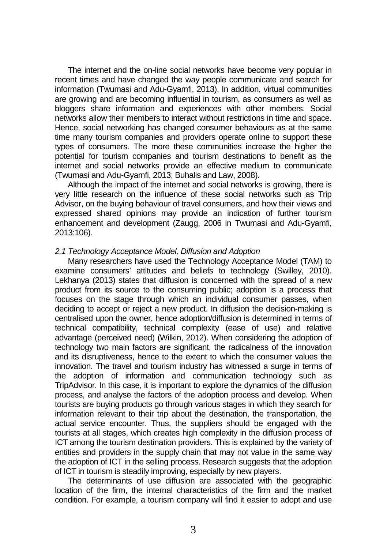The internet and the on-line social networks have become very popular in recent times and have changed the way people communicate and search for information (Twumasi and Adu-Gyamfi, 2013). In addition, virtual communities are growing and are becoming influential in tourism, as consumers as well as bloggers share information and experiences with other members. Social networks allow their members to interact without restrictions in time and space. Hence, social networking has changed consumer behaviours as at the same time many tourism companies and providers operate online to support these types of consumers. The more these communities increase the higher the potential for tourism companies and tourism destinations to benefit as the internet and social networks provide an effective medium to communicate (Twumasi and Adu-Gyamfi, 2013; Buhalis and Law, 2008).

Although the impact of the internet and social networks is growing, there is very little research on the influence of these social networks such as Trip Advisor, on the buying behaviour of travel consumers, and how their views and expressed shared opinions may provide an indication of further tourism enhancement and development (Zaugg, 2006 in Twumasi and Adu-Gyamfi, 2013:106).

#### *2.1 Technology Acceptance Model, Diffusion and Adoption*

Many researchers have used the Technology Acceptance Model (TAM) to examine consumers' attitudes and beliefs to technology (Swilley, 2010). Lekhanya (2013) states that diffusion is concerned with the spread of a new product from its source to the consuming public; adoption is a process that focuses on the stage through which an individual consumer passes, when deciding to accept or reject a new product. In diffusion the decision-making is centralised upon the owner, hence adoption/diffusion is determined in terms of technical compatibility, technical complexity (ease of use) and relative advantage (perceived need) (Wilkin, 2012). When considering the adoption of technology two main factors are significant, the radicalness of the innovation and its disruptiveness, hence to the extent to which the consumer values the innovation. The travel and tourism industry has witnessed a surge in terms of the adoption of information and communication technology such as TripAdvisor. In this case, it is important to explore the dynamics of the diffusion process, and analyse the factors of the adoption process and develop. When tourists are buying products go through various stages in which they search for information relevant to their trip about the destination, the transportation, the actual service encounter. Thus, the suppliers should be engaged with the tourists at all stages, which creates high complexity in the diffusion process of ICT among the tourism destination providers. This is explained by the variety of entities and providers in the supply chain that may not value in the same way the adoption of ICT in the selling process. Research suggests that the adoption of ICT in tourism is steadily improving, especially by new players.

The determinants of use diffusion are associated with the geographic location of the firm, the internal characteristics of the firm and the market condition. For example, a tourism company will find it easier to adopt and use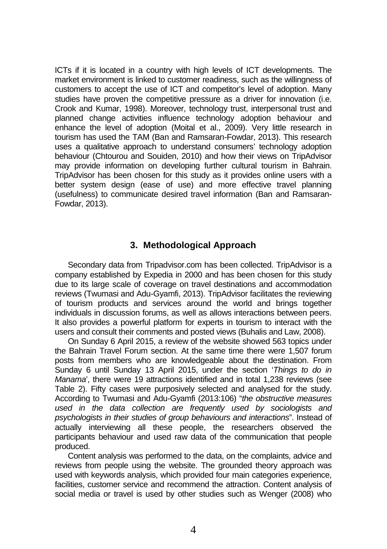ICTs if it is located in a country with high levels of ICT developments. The market environment is linked to customer readiness, such as the willingness of customers to accept the use of ICT and competitor's level of adoption. Many studies have proven the competitive pressure as a driver for innovation (i.e. Crook and Kumar, 1998). Moreover, technology trust, interpersonal trust and planned change activities influence technology adoption behaviour and enhance the level of adoption (Moital et al., 2009). Very little research in tourism has used the TAM (Ban and Ramsaran-Fowdar, 2013). This research uses a qualitative approach to understand consumers' technology adoption behaviour (Chtourou and Souiden, 2010) and how their views on TripAdvisor may provide information on developing further cultural tourism in Bahrain. TripAdvisor has been chosen for this study as it provides online users with a better system design (ease of use) and more effective travel planning (usefulness) to communicate desired travel information (Ban and Ramsaran-Fowdar, 2013).

## **3. Methodological Approach**

Secondary data from Tripadvisor.com has been collected. TripAdvisor is a company established by Expedia in 2000 and has been chosen for this study due to its large scale of coverage on travel destinations and accommodation reviews (Twumasi and Adu-Gyamfi, 2013). TripAdvisor facilitates the reviewing of tourism products and services around the world and brings together individuals in discussion forums, as well as allows interactions between peers. It also provides a powerful platform for experts in tourism to interact with the users and consult their comments and posted views (Buhalis and Law, 2008).

On Sunday 6 April 2015, a review of the website showed 563 topics under the Bahrain Travel Forum section. At the same time there were 1,507 forum posts from members who are knowledgeable about the destination. From Sunday 6 until Sunday 13 April 2015, under the section '*Things to do in Manama*', there were 19 attractions identified and in total 1,238 reviews (see Table 2). Fifty cases were purposively selected and analysed for the study. According to Twumasi and Adu-Gyamfi (2013:106) "*the obstructive measures used in the data collection are frequently used by sociologists and psychologists in their studies of group behaviours and interactions*". Instead of actually interviewing all these people, the researchers observed the participants behaviour and used raw data of the communication that people produced.

Content analysis was performed to the data, on the complaints, advice and reviews from people using the website. The grounded theory approach was used with keywords analysis, which provided four main categories experience, facilities, customer service and recommend the attraction. Content analysis of social media or travel is used by other studies such as Wenger (2008) who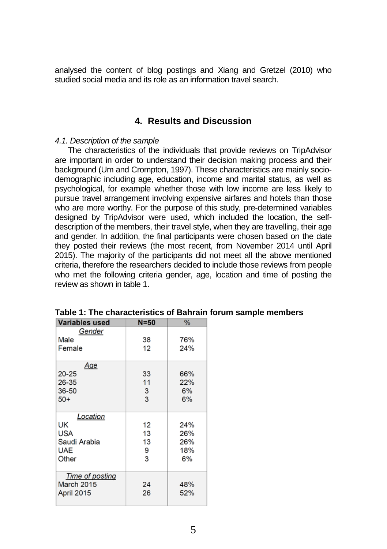analysed the content of blog postings and Xiang and Gretzel (2010) who studied social media and its role as an information travel search.

## **4. Results and Discussion**

#### *4.1. Description of the sample*

The characteristics of the individuals that provide reviews on TripAdvisor are important in order to understand their decision making process and their background (Um and Crompton, 1997). These characteristics are mainly sociodemographic including age, education, income and marital status, as well as psychological, for example whether those with low income are less likely to pursue travel arrangement involving expensive airfares and hotels than those who are more worthy. For the purpose of this study, pre-determined variables designed by TripAdvisor were used, which included the location, the selfdescription of the members, their travel style, when they are travelling, their age and gender. In addition, the final participants were chosen based on the date they posted their reviews (the most recent, from November 2014 until April 2015). The majority of the participants did not meet all the above mentioned criteria, therefore the researchers decided to include those reviews from people who met the following criteria gender, age, location and time of posting the review as shown in table 1.

| <b>Variables used</b>                                        | $N = 50$                 | %                              |  |  |
|--------------------------------------------------------------|--------------------------|--------------------------------|--|--|
| Gender<br>Male<br>Female                                     | 38<br>12                 | 76%<br>24%                     |  |  |
| Age<br>$20 - 25$<br>26-35<br>36-50<br>$50+$                  | 33<br>11<br>3<br>3       | 66%<br>22%<br>6%<br>6%         |  |  |
| Location<br>UK<br>USA<br>Saudi Arabia<br><b>UAE</b><br>Other | 12<br>13<br>13<br>9<br>3 | 24%<br>26%<br>26%<br>18%<br>6% |  |  |
| <b>Time of posting</b><br>March 2015<br>April 2015           | 24<br>26                 | 48%<br>52%                     |  |  |

**Table 1: The characteristics of Bahrain forum sample members**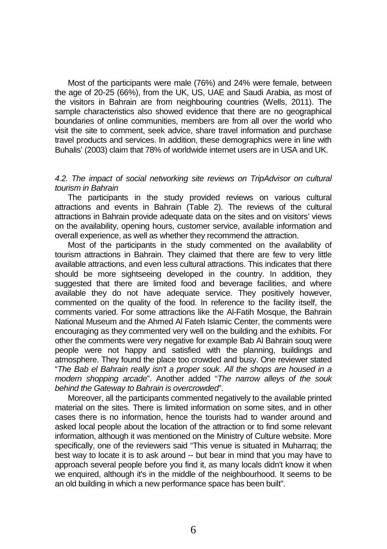Most of the participants were male (76%) and 24% were female, between the age of 20-25 (66%), from the UK, US, UAE and Saudi Arabia, as most of the visitors in Bahrain are from neighbouring countries (Wells, 2011). The sample characteristics also showed evidence that there are no geographical boundaries of online communities, members are from all over the world who visit the site to comment, seek advice, share travel information and purchase travel products and services. In addition, these demographics were in line with Buhalis' (2003) claim that 78% of worldwide internet users are in USA and UK.

#### *4.2. The impact of social networking site reviews on TripAdvisor on cultural tourism in Bahrain*

The participants in the study provided reviews on various cultural attractions and events in Bahrain (Table 2). The reviews of the cultural attractions in Bahrain provide adequate data on the sites and on visitors' views on the availability, opening hours, customer service, available information and overall experience, as well as whether they recommend the attraction.

Most of the participants in the study commented on the availability of tourism attractions in Bahrain. They claimed that there are few to very little available attractions, and even less cultural attractions. This indicates that there should be more sightseeing developed in the country. In addition, they suggested that there are limited food and beverage facilities, and where available they do not have adequate service. They positively however, commented on the quality of the food. In reference to the facility itself, the comments varied. For some attractions like the Al-Fatih Mosque, the Bahrain National Museum and the Ahmed Al Fateh Islamic Center, the comments were encouraging as they commented very well on the building and the exhibits. For other the comments were very negative for example Bab Al Bahrain souq were people were not happy and satisfied with the planning, buildings and atmosphere. They found the place too crowded and busy. One reviewer stated "*The Bab el Bahrain really isn't a proper souk. All the shops are housed in a modern shopping arcade*". Another added "*The narrow alleys of the souk behind the Gateway to Bahrain is overcrowded*".

Moreover, all the participants commented negatively to the available printed material on the sites. There is limited information on some sites, and in other cases there is no information, hence the tourists had to wander around and asked local people about the location of the attraction or to find some relevant information, although it was mentioned on the Ministry of Culture website. More specifically, one of the reviewers said "This venue is situated in Muharraq; the best way to locate it is to ask around -- but bear in mind that you may have to approach several people before you find it, as many locals didn't know it when we enquired, although it's in the middle of the neighbourhood. It seems to be an old building in which a new performance space has been built".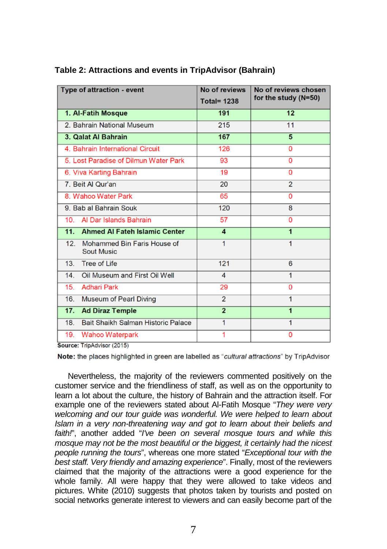| Type of attraction - event                                          | No of reviews<br><b>Total= 1238</b> | No of reviews chosen<br>for the study (N=50) |  |  |
|---------------------------------------------------------------------|-------------------------------------|----------------------------------------------|--|--|
| 1. Al-Fatih Mosque                                                  | 191                                 | 12                                           |  |  |
| 2. Bahrain National Museum                                          | 215                                 | 11                                           |  |  |
| 3. Qalat Al Bahrain                                                 | 167                                 | 5                                            |  |  |
| 4. Bahrain International Circuit                                    | 126                                 | 0                                            |  |  |
| 5. Lost Paradise of Dilmun Water Park                               | 93                                  | 0                                            |  |  |
| 6. Viva Karting Bahrain                                             | 19                                  | $\Omega$                                     |  |  |
| 7. Beit Al Qur'an                                                   | 20                                  | $\overline{2}$                               |  |  |
| 8. Wahoo Water Park                                                 | 65                                  | 0                                            |  |  |
| 9. Bab al Bahrain Souk                                              | 120                                 | 8                                            |  |  |
| Al Dar Islands Bahrain<br>10.                                       | 57                                  | 0                                            |  |  |
| 11.<br><b>Ahmed AI Fateh Islamic Center</b>                         | 4                                   | $\overline{1}$                               |  |  |
| 12 <sub>1</sub><br>Mohammed Bin Faris House of<br><b>Sout Music</b> | 1                                   | 1                                            |  |  |
| Tree of Life<br>13.                                                 | 121                                 | 6                                            |  |  |
| Oil Museum and First Oil Well<br>14.                                | 4                                   | 1                                            |  |  |
| 15.<br><b>Adhari Park</b>                                           | 29                                  | 0                                            |  |  |
| 16.<br><b>Museum of Pearl Diving</b>                                | $\overline{2}$                      | 1                                            |  |  |
| 17.<br><b>Ad Diraz Temple</b>                                       | $\overline{2}$                      | $\overline{1}$                               |  |  |
| Bait Shaikh Salman Historic Palace<br>18.                           | 1                                   | 1                                            |  |  |
| 19.<br><b>Wahoo Waterpark</b><br>アジット ふしじゅん アウウイぞく                  | 1                                   | 0                                            |  |  |

#### **Table 2: Attractions and events in TripAdvisor (Bahrain)**

Source: TripAdvisor (2015)

Note: the places highlighted in green are labelled as "cultural attractions" by TripAdvisor

Nevertheless, the majority of the reviewers commented positively on the customer service and the friendliness of staff, as well as on the opportunity to learn a lot about the culture, the history of Bahrain and the attraction itself. For example one of the reviewers stated about Al-Fatih Mosque "*They were very welcoming and our tour guide was wonderful. We were helped to learn about Islam in a very non-threatening way and got to learn about their beliefs and faith!*", another added "*I've been on several mosque tours and while this mosque may not be the most beautiful or the biggest, it certainly had the nicest people running the tours*", whereas one more stated "*Exceptional tour with the best staff. Very friendly and amazing experience*". Finally, most of the reviewers claimed that the majority of the attractions were a good experience for the whole family. All were happy that they were allowed to take videos and pictures. White (2010) suggests that photos taken by tourists and posted on social networks generate interest to viewers and can easily become part of the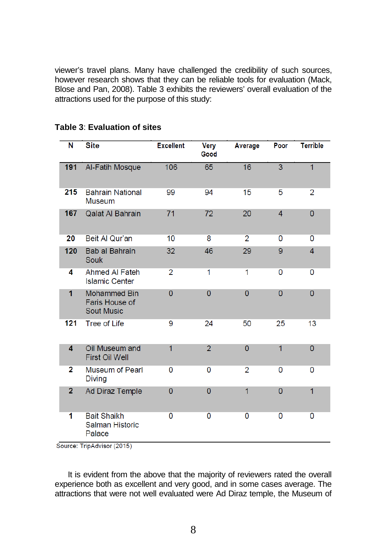viewer's travel plans. Many have challenged the credibility of such sources, however research shows that they can be reliable tools for evaluation (Mack, Blose and Pan, 2008). Table 3 exhibits the reviewers' overall evaluation of the attractions used for the purpose of this study:

| N              | <b>Site</b>                                                | <b>Excellent</b> | <b>Very</b><br>Good | Average        | Poor           | <b>Terrible</b> |
|----------------|------------------------------------------------------------|------------------|---------------------|----------------|----------------|-----------------|
| 191            | Al-Fatih Mosque                                            | 106              | 65                  | 16             | $\overline{3}$ | $\overline{1}$  |
| 215            | <b>Bahrain National</b><br><b>Museum</b>                   | 99               | 94                  | 15             | 5              | $\overline{2}$  |
| 167            | <b>Qalat Al Bahrain</b>                                    | 71               | 72                  | 20             | $\overline{4}$ | $\overline{0}$  |
| 20             | Beit Al Qur'an                                             | 10               | 8                   | $\overline{2}$ | $\Omega$       | $\Omega$        |
| 120            | Bab al Bahrain<br>Souk                                     | 32               | 46                  | 29             | 9              | $\overline{4}$  |
| 4              | <b>Ahmed AI Fateh</b><br><b>Islamic Center</b>             | $\overline{2}$   | 1                   | 1              | $\Omega$       | 0               |
| 1              | <b>Mohammed Bin</b><br>Faris House of<br><b>Sout Music</b> | $\overline{0}$   | $\overline{0}$      | $\overline{0}$ | $\Omega$       | $\overline{0}$  |
| 121            | <b>Tree of Life</b>                                        | 9                | 24                  | 50             | 25             | 13              |
| 4              | Oil Museum and<br><b>First Oil Well</b>                    | $\overline{1}$   | $\overline{2}$      | $\overline{0}$ | 1              | $\mathbf{0}$    |
| $\overline{2}$ | <b>Museum of Pearl</b><br><b>Diving</b>                    | 0                | $\Omega$            | $\overline{2}$ | $\mathbf{0}$   | 0               |
| $\overline{2}$ | Ad Diraz Temple                                            | 0                | $\overline{0}$      | 1              | $\overline{0}$ | $\overline{1}$  |
| 1              | <b>Bait Shaikh</b><br><b>Salman Historic</b><br>Palace     | 0                | 0                   | 0              | $\Omega$       | 0               |

## **Table 3**: **Evaluation of sites**

Source: TripAdvisor (2015)

It is evident from the above that the majority of reviewers rated the overall experience both as excellent and very good, and in some cases average. The attractions that were not well evaluated were Ad Diraz temple, the Museum of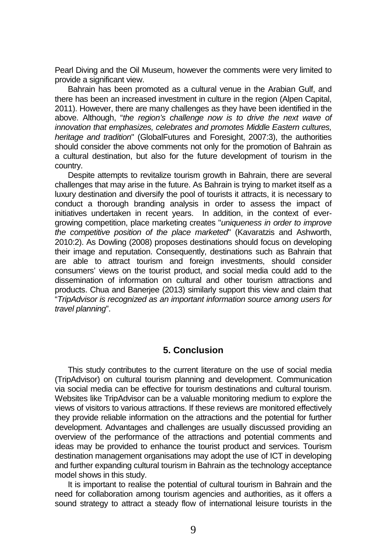Pearl Diving and the Oil Museum, however the comments were very limited to provide a significant view.

Bahrain has been promoted as a cultural venue in the Arabian Gulf, and there has been an increased investment in culture in the region (Alpen Capital, 2011). However, there are many challenges as they have been identified in the above. Although, "*the region's challenge now is to drive the next wave of innovation that emphasizes, celebrates and promotes Middle Eastern cultures, heritage and tradition*" (GlobalFutures and Foresight, 2007:3), the authorities should consider the above comments not only for the promotion of Bahrain as a cultural destination, but also for the future development of tourism in the country.

Despite attempts to revitalize tourism growth in Bahrain, there are several challenges that may arise in the future. As Bahrain is trying to market itself as a luxury destination and diversify the pool of tourists it attracts, it is necessary to conduct a thorough branding analysis in order to assess the impact of initiatives undertaken in recent years. In addition, in the context of evergrowing competition, place marketing creates "*uniqueness in order to improve the competitive position of the place marketed*" (Kavaratzis and Ashworth, 2010:2). As Dowling (2008) proposes destinations should focus on developing their image and reputation. Consequently, destinations such as Bahrain that are able to attract tourism and foreign investments, should consider consumers' views on the tourist product, and social media could add to the dissemination of information on cultural and other tourism attractions and products. Chua and Banerjee (2013) similarly support this view and claim that "*TripAdvisor is recognized as an important information source among users for travel planning*".

# **5. Conclusion**

This study contributes to the current literature on the use of social media (TripAdvisor) on cultural tourism planning and development. Communication via social media can be effective for tourism destinations and cultural tourism. Websites like TripAdvisor can be a valuable monitoring medium to explore the views of visitors to various attractions. If these reviews are monitored effectively they provide reliable information on the attractions and the potential for further development. Advantages and challenges are usually discussed providing an overview of the performance of the attractions and potential comments and ideas may be provided to enhance the tourist product and services. Tourism destination management organisations may adopt the use of ICT in developing and further expanding cultural tourism in Bahrain as the technology acceptance model shows in this study.

It is important to realise the potential of cultural tourism in Bahrain and the need for collaboration among tourism agencies and authorities, as it offers a sound strategy to attract a steady flow of international leisure tourists in the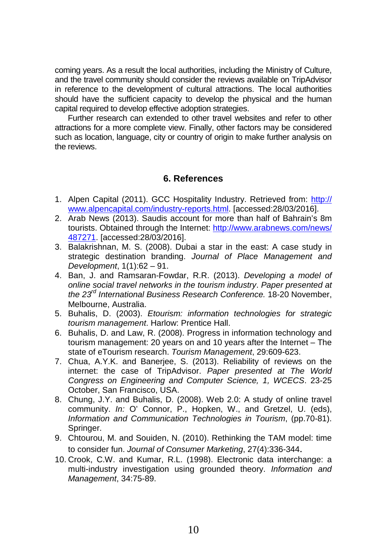coming years. As a result the local authorities, including the Ministry of Culture, and the travel community should consider the reviews available on TripAdvisor in reference to the development of cultural attractions. The local authorities should have the sufficient capacity to develop the physical and the human capital required to develop effective adoption strategies.

Further research can extended to other travel websites and refer to other attractions for a more complete view. Finally, other factors may be considered such as location, language, city or country of origin to make further analysis on the reviews.

## **6. References**

- 1. Alpen Capital (2011). GCC Hospitality Industry. Retrieved from: http:// www.alpencapital.com/industry-reports.html. [accessed:28/03/2016].
- 2. Arab News (2013). Saudis account for more than half of Bahrain's 8m tourists. Obtained through the Internet: [http://www.arabnews.com/news/](http://www.arabnews.com/news/%20487271)  [487271.](http://www.arabnews.com/news/%20487271) [accessed:28/03/2016].
- 3. Balakrishnan, M. S. (2008). Dubai a star in the east: A case study in strategic destination branding. *Journal of Place Management and Development*, 1(1):62 – 91.
- 4. Ban, J. and Ramsaran-Fowdar, R.R. (2013). *Developing a model of online social travel networks in the tourism industry*. *Paper presented at the 23rd International Business Research Conference.* 18-20 November, Melbourne, Australia.
- 5. Buhalis, D. (2003). *Etourism: information technologies for strategic tourism management*. Harlow: Prentice Hall.
- 6. Buhalis, D. and Law, R. (2008). Progress in information technology and tourism management: 20 years on and 10 years after the Internet – The state of eTourism research. *Tourism Management*, 29:609-623.
- 7. Chua, A.Y.K. and Banerjee, S. (2013). Reliability of reviews on the internet: the case of TripAdvisor. *Paper presented at The World Congress on Engineering and Computer Science, 1, WCECS*. 23-25 October, San Francisco, USA.
- 8. Chung, J.Y. and Buhalis, D. (2008). Web 2.0: A study of online travel community. *In:* O' Connor, P., Hopken, W., and Gretzel, U. (eds), *Information and Communication Technologies in Tourism*, (pp.70-81). Springer.
- 9. Chtourou, M. and Souiden, N. (2010). Rethinking the TAM model: time to consider fun. *Journal of Consumer Marketing*, 27(4):336-344.
- 10. Crook, C.W. and Kumar, R.L. (1998). Electronic data interchange: a multi-industry investigation using grounded theory. *Information and Management*, 34:75-89.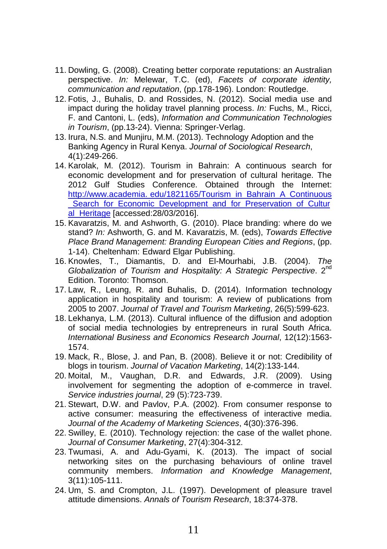- 11. Dowling, G. (2008). Creating better corporate reputations: an Australian perspective. *In:* Melewar, T.C. (ed), *Facets of corporate identity, communication and reputation*, (pp.178-196). London: Routledge.
- 12. Fotis, J., Buhalis, D. and Rossides, N. (2012). Social media use and impact during the holiday travel planning process. *In:* Fuchs, M., Ricci, F. and Cantoni, L. (eds), *Information and Communication Technologies in Tourism*, (pp.13-24). Vienna: Springer-Verlag.
- 13. Irura, N.S. and Munjiru, M.M. (2013). Technology Adoption and the Banking Agency in Rural Kenya. *Journal of Sociological Research*, 4(1):249-266.
- 14. Karolak, M. (2012). Tourism in Bahrain: A continuous search for economic development and for preservation of cultural heritage. The 2012 Gulf Studies Conference. Obtained through the Internet: http://www.academia. edu/1821165/Tourism\_in\_Bahrain\_A\_Continuous Search\_for\_Economic\_Development\_and\_for\_Preservation\_of\_Cultur al Heritage [accessed:28/03/2016].
- 15. Kavaratzis, M. and Ashworth, G. (2010). Place branding: where do we stand? *In:* Ashworth, G. and M. Kavaratzis, M. (eds), *Towards Effective Place Brand Management: Branding European Cities and Regions*, (pp. 1-14). Cheltenham: Edward Elgar Publishing.
- 16. Knowles, T., Diamantis, D. and El-Mourhabi, J.B. (2004). *The Globalization of Tourism and Hospitality: A Strategic Perspective*. 2nd Edition. Toronto: Thomson.
- 17. Law, R., Leung, R. and Buhalis, D. (2014). Information technology application in hospitality and tourism: A review of publications from 2005 to 2007. *Journal of Travel and Tourism Marketing*, 26(5):599-623.
- 18. Lekhanya, L.M. (2013). Cultural influence of the diffusion and adoption of social media technologies by entrepreneurs in rural South Africa. *International Business and Economics Research Journal*, 12(12):1563- 1574.
- 19. Mack, R., Blose, J. and Pan, B. (2008). Believe it or not: Credibility of blogs in tourism. *Journal of Vacation Marketing*, 14(2):133-144.
- 20. Moital, M., Vaughan, D.R. and Edwards, J.R. (2009). Using involvement for segmenting the adoption of e-commerce in travel. *Service industries journal*, 29 (5):723-739.
- 21. Stewart, D.W. and Pavlov, P.A. (2002). From consumer response to active consumer: measuring the effectiveness of interactive media. *Journal of the Academy of Marketing Sciences*, 4(30):376-396.
- 22. Swilley, E. (2010). Technology rejection: the case of the wallet phone. *Journal of Consumer Marketing*, 27(4):304-312.
- 23. Twumasi, A. and Adu-Gyami, K. (2013). The impact of social networking sites on the purchasing behaviours of online travel community members. *Information and Knowledge Management*, 3(11):105-111.
- 24. Um, S. and Crompton, J.L. (1997). Development of pleasure travel attitude dimensions. *Annals of Tourism Research*, 18:374-378.